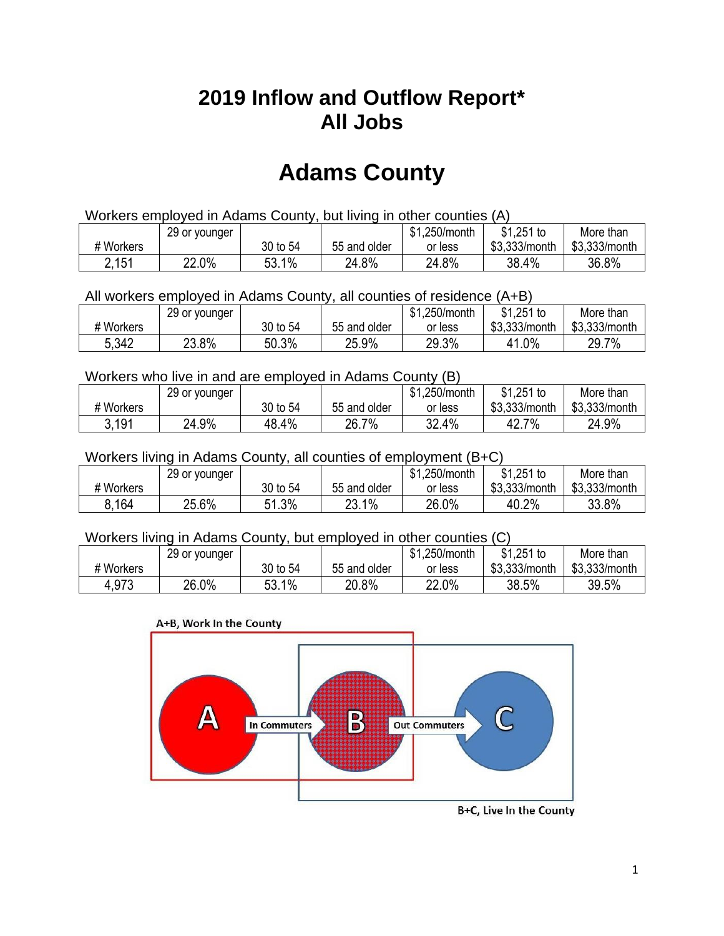## **2019 Inflow and Outflow Report\* All Jobs**

# **Adams County**

| Workers employed in Adams County, but living in other counties (A) |                                                           |          |              |         |               |               |  |  |  |
|--------------------------------------------------------------------|-----------------------------------------------------------|----------|--------------|---------|---------------|---------------|--|--|--|
|                                                                    | \$1.251 to<br>\$1.250/month<br>More than<br>29 or younger |          |              |         |               |               |  |  |  |
| # Workers                                                          |                                                           | 30 to 54 | 55 and older | or less | \$3.333/month | \$3,333/month |  |  |  |
| 2,151                                                              | 22.0%                                                     | 53.1%    | 24.8%        | 24.8%   | 38.4%         | 36.8%         |  |  |  |

All workers employed in Adams County, all counties of residence (A+B)

|           | 29 or younger |          |              | \$1,250/month | $$1,251$ to   | More than     |
|-----------|---------------|----------|--------------|---------------|---------------|---------------|
| # Workers |               | 30 to 54 | 55 and older | or less       | \$3,333/month | \$3,333/month |
| 5,342     | 23.8%         | 50.3%    | 25.9%        | 29.3%         | 41.0%         | 29.7%         |

#### Workers who live in and are employed in Adams County (B)

|           | 29 or younger |          |              | \$1,250/month | $$1,251$ to   | More than     |
|-----------|---------------|----------|--------------|---------------|---------------|---------------|
| # Workers |               | 30 to 54 | 55 and older | or less       | \$3,333/month | \$3,333/month |
| 3,191     | 24.9%         | 48.4%    | 26.7%        | 32.4%         | 7%<br>42.7    | 24.9%         |

#### Workers living in Adams County, all counties of employment (B+C)

|           | 29 or younger |              |              | \$1,250/month | $$1,251$ to   | More than     |
|-----------|---------------|--------------|--------------|---------------|---------------|---------------|
| # Workers |               | 30 to 54     | 55 and older | or less       | \$3,333/month | \$3,333/month |
| 8.164     | 25.6%         | 1.3%<br>C 4. | 23.1%        | 26.0%         | 40.2%         | 33.8%         |

#### Workers living in Adams County, but employed in other counties (C)

|           | 29 or younger |                     |              | \$1,250/month | \$1,251 to    | More than     |
|-----------|---------------|---------------------|--------------|---------------|---------------|---------------|
| # Workers |               | 30 to 54            | 55 and older | or less       | \$3,333/month | \$3,333/month |
| 4,973     | 26.0%         | $1\%$<br>ΓO<br>ວວ.⊤ | 20.8%        | 22.0%         | 38.5%         | 39.5%         |

#### A+B, Work In the County



B+C, Live In the County